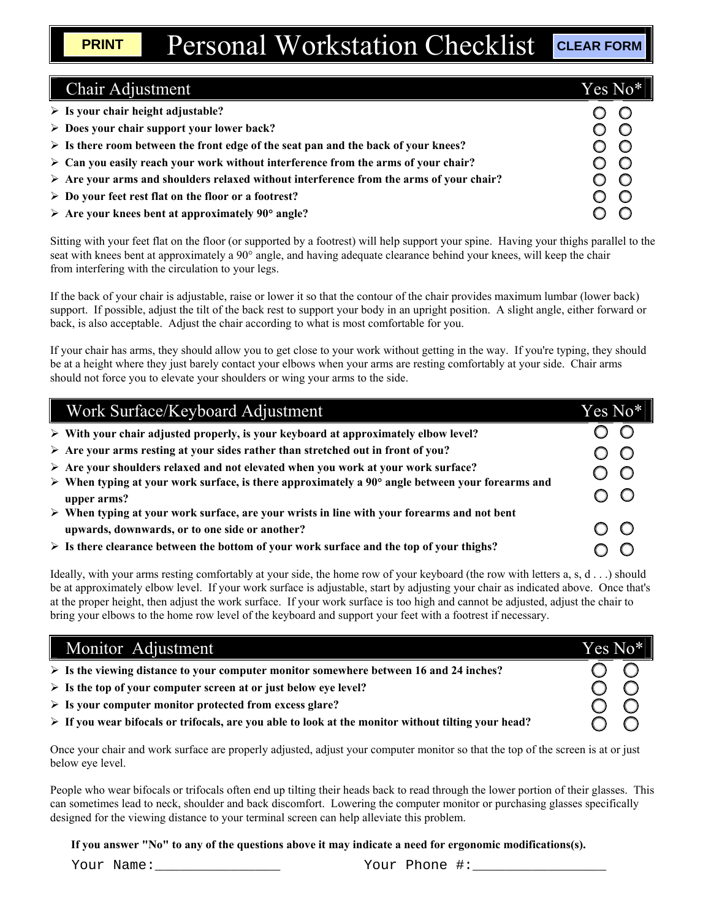| <b>Chair Adjustment</b>                                                                                | Yes No* |
|--------------------------------------------------------------------------------------------------------|---------|
| $\triangleright$ Is your chair height adjustable?                                                      |         |
| $\triangleright$ Does your chair support your lower back?                                              |         |
| $\triangleright$ Is there room between the front edge of the seat pan and the back of your knees?      |         |
| $\triangleright$ Can you easily reach your work without interference from the arms of your chair?      | $\circ$ |
| $\triangleright$ Are your arms and shoulders relaxed without interference from the arms of your chair? |         |
| $\triangleright$ Do your feet rest flat on the floor or a footrest?                                    |         |
| $\triangleright$ Are your knees bent at approximately 90° angle?                                       |         |

Sitting with your feet flat on the floor (or supported by a footrest) will help support your spine. Having your thighs parallel to the seat with knees bent at approximately a 90° angle, and having adequate clearance behind your knees, will keep the chair from interfering with the circulation to your legs.

If the back of your chair is adjustable, raise or lower it so that the contour of the chair provides maximum lumbar (lower back) support. If possible, adjust the tilt of the back rest to support your body in an upright position. A slight angle, either forward or back, is also acceptable. Adjust the chair according to what is most comfortable for you.

If your chair has arms, they should allow you to get close to your work without getting in the way. If you're typing, they should be at a height where they just barely contact your elbows when your arms are resting comfortably at your side. Chair arms should not force you to elevate your shoulders or wing your arms to the side.

| Work Surface/Keyboard Adjustment                                                                                                                             | Yes No*! |
|--------------------------------------------------------------------------------------------------------------------------------------------------------------|----------|
| $\triangleright$ With your chair adjusted properly, is your keyboard at approximately elbow level?                                                           |          |
| $\triangleright$ Are your arms resting at your sides rather than stretched out in front of you?                                                              |          |
| $\triangleright$ Are your shoulders relaxed and not elevated when you work at your work surface?                                                             |          |
| $\triangleright$ When typing at your work surface, is there approximately a 90 $^{\circ}$ angle between your forearms and<br>upper arms?                     |          |
| $\triangleright$ When typing at your work surface, are your wrists in line with your forearms and not bent<br>upwards, downwards, or to one side or another? |          |
| $\triangleright$ Is there clearance between the bottom of your work surface and the top of your thighs?                                                      |          |

Ideally, with your arms resting comfortably at your side, the home row of your keyboard (the row with letters a, s, d . . .) should be at approximately elbow level. If your work surface is adjustable, start by adjusting your chair as indicated above. Once that's at the proper height, then adjust the work surface. If your work surface is too high and cannot be adjusted, adjust the chair to bring your elbows to the home row level of the keyboard and support your feet with a footrest if necessary.

| Monitor Adjustment                                                                                                 | Yes No* |
|--------------------------------------------------------------------------------------------------------------------|---------|
| $\triangleright$ Is the viewing distance to your computer monitor somewhere between 16 and 24 inches?              |         |
| $\triangleright$ Is the top of your computer screen at or just below eye level?                                    |         |
| $\triangleright$ Is your computer monitor protected from excess glare?                                             |         |
| $\triangleright$ If you wear bifocals or trifocals, are you able to look at the monitor without tilting your head? |         |

Once your chair and work surface are properly adjusted, adjust your computer monitor so that the top of the screen is at or just below eye level.

People who wear bifocals or trifocals often end up tilting their heads back to read through the lower portion of their glasses. This can sometimes lead to neck, shoulder and back discomfort. Lowering the computer monitor or purchasing glasses specifically designed for the viewing distance to your terminal screen can help alleviate this problem.

**If you answer "No" to any of the questions above it may indicate a need for ergonomic modifications(s).**

Your Name:\_\_\_\_\_\_\_\_\_\_\_\_\_\_\_ Your Phone #:\_\_\_\_\_\_\_\_\_\_\_\_\_\_\_\_